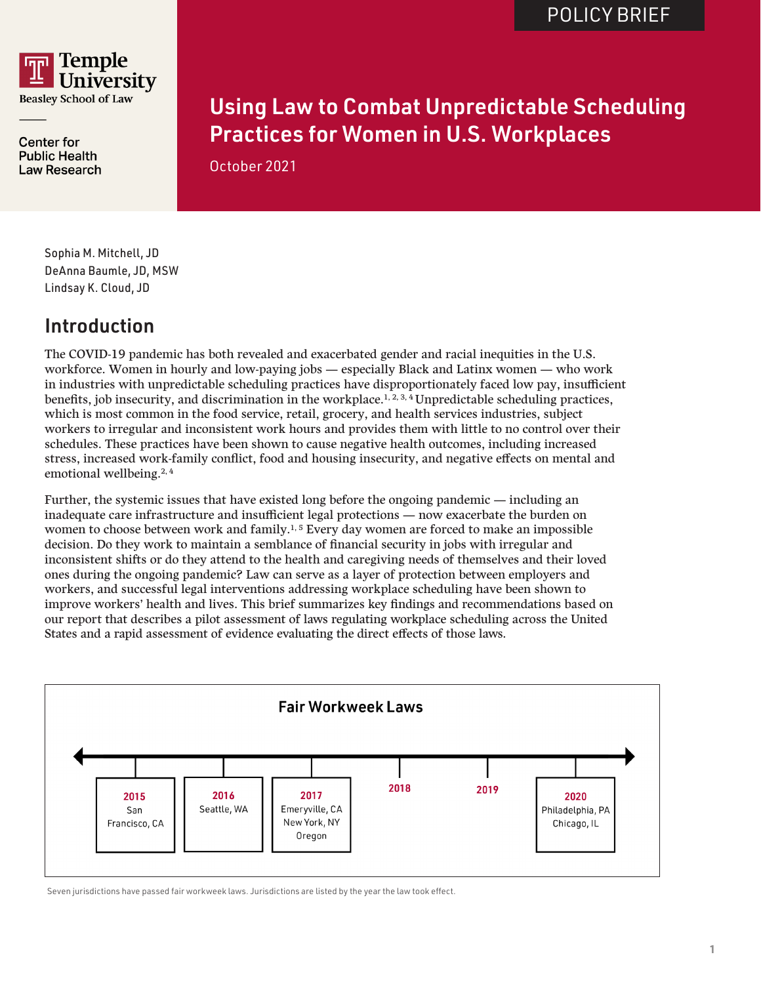

**Center for Public Health Law Research**  Using Law to Combat Unpredictable Scheduling Practices for Women in U.S. Workplaces

October 2021

Sophia M. Mitchell, JD DeAnna Baumle, JD, MSW Lindsay K. Cloud, JD

## Introduction

The COVID-19 pandemic has both revealed and exacerbated gender and racial inequities in the U.S. workforce. Women in hourly and low-paying jobs — especially Black and Latinx women — who work in industries with unpredictable scheduling practices have disproportionately faced low pay, insufficient benefits, job insecurity, and discrimination in the workplace.<sup>1, 2, 3, 4</sup> Unpredictable scheduling practices, which is most common in the food service, retail, grocery, and health services industries, subject workers to irregular and inconsistent work hours and provides them with little to no control over their schedules. These practices have been shown to cause negative health outcomes, including increased stress, increased work-family conflict, food and housing insecurity, and negative effects on mental and emotional wellbeing.2, 4

Further, the systemic issues that have existed long before the ongoing pandemic — including an inadequate care infrastructure and insufficient legal protections — now exacerbate the burden on women to choose between work and family.<sup>1, 5</sup> Every day women are forced to make an impossible decision. Do they work to maintain a semblance of financial security in jobs with irregular and inconsistent shifts or do they attend to the health and caregiving needs of themselves and their loved ones during the ongoing pandemic? Law can serve as a layer of protection between employers and workers, and successful legal interventions addressing workplace scheduling have been shown to improve workers' health and lives. This brief summarizes key findings and recommendations based on our report that describes a pilot assessment of laws regulating workplace scheduling across the United States and a rapid assessment of evidence evaluating the direct effects of those laws.



Seven jurisdictions have passed fair workweek laws. Jurisdictions are listed by the year the law took effect.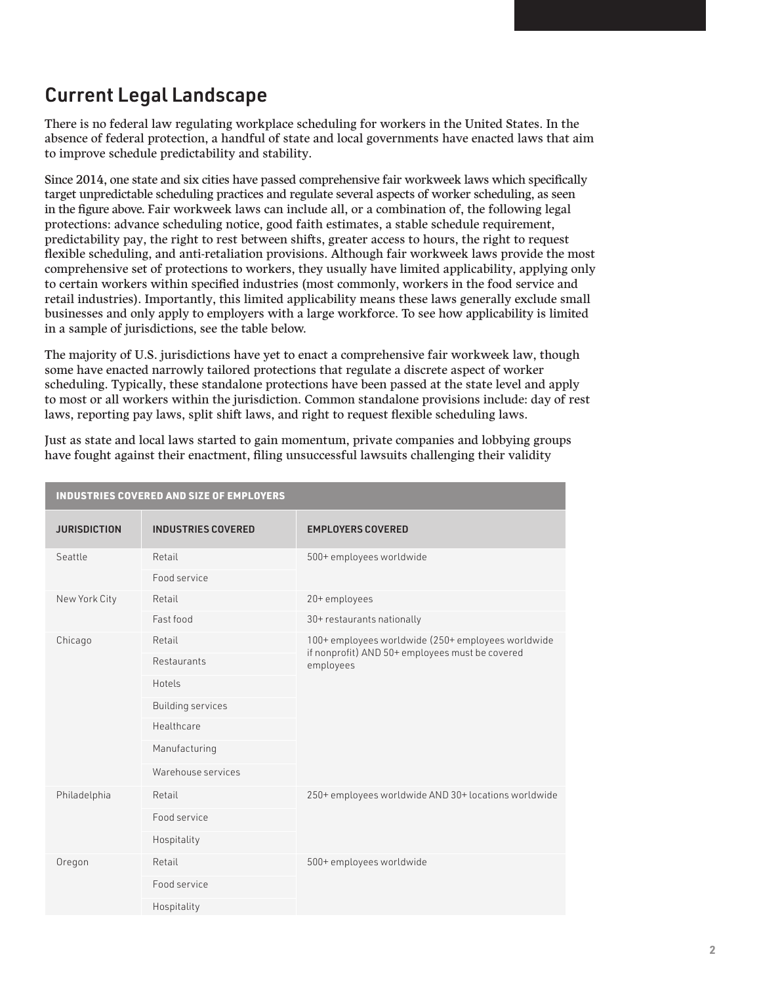## Current Legal Landscape

There is no federal law regulating workplace scheduling for workers in the United States. In the absence of federal protection, a handful of state and local governments have enacted laws that aim to improve schedule predictability and stability.

Since 2014, one state and six cities have passed comprehensive fair workweek laws which specifically target unpredictable scheduling practices and regulate several aspects of worker scheduling, as seen in the figure above. Fair workweek laws can include all, or a combination of, the following legal protections: advance scheduling notice, good faith estimates, a stable schedule requirement, predictability pay, the right to rest between shifts, greater access to hours, the right to request flexible scheduling, and anti-retaliation provisions. Although fair workweek laws provide the most comprehensive set of protections to workers, they usually have limited applicability, applying only to certain workers within specified industries (most commonly, workers in the food service and retail industries). Importantly, this limited applicability means these laws generally exclude small businesses and only apply to employers with a large workforce. To see how applicability is limited in a sample of jurisdictions, see the table below.

The majority of U.S. jurisdictions have yet to enact a comprehensive fair workweek law, though some have enacted narrowly tailored protections that regulate a discrete aspect of worker scheduling. Typically, these standalone protections have been passed at the state level and apply to most or all workers within the jurisdiction. Common standalone provisions include: day of rest laws, reporting pay laws, split shift laws, and right to request flexible scheduling laws.

| Just as state and local laws started to gain momentum, private companies and lobbying groups |  |
|----------------------------------------------------------------------------------------------|--|
| have fought against their enactment, filing unsuccessful lawsuits challenging their validity |  |

| <b>INDUSTRIES COVERED AND SIZE OF EMPLOYERS</b> |                           |                                                                                                                    |
|-------------------------------------------------|---------------------------|--------------------------------------------------------------------------------------------------------------------|
| <b>JURISDICTION</b>                             | <b>INDUSTRIES COVERED</b> | <b>EMPLOYERS COVERED</b>                                                                                           |
| Seattle                                         | Retail                    | 500+ employees worldwide                                                                                           |
|                                                 | Food service              |                                                                                                                    |
| New York City                                   | Retail                    | 20+employees                                                                                                       |
|                                                 | Fast food                 | 30+ restaurants nationally                                                                                         |
| Chicago                                         | Retail                    | 100+ employees worldwide (250+ employees worldwide<br>if nonprofit) AND 50+ employees must be covered<br>employees |
|                                                 | Restaurants               |                                                                                                                    |
|                                                 | Hotels                    |                                                                                                                    |
|                                                 | <b>Building services</b>  |                                                                                                                    |
|                                                 | Healthcare                |                                                                                                                    |
|                                                 | Manufacturing             |                                                                                                                    |
|                                                 | Warehouse services        |                                                                                                                    |
| Philadelphia                                    | Retail                    | 250+ employees worldwide AND 30+ locations worldwide                                                               |
|                                                 | Food service              |                                                                                                                    |
|                                                 | Hospitality               |                                                                                                                    |
| Oregon                                          | Retail                    | 500+ employees worldwide                                                                                           |
|                                                 | Food service              |                                                                                                                    |
|                                                 | Hospitality               |                                                                                                                    |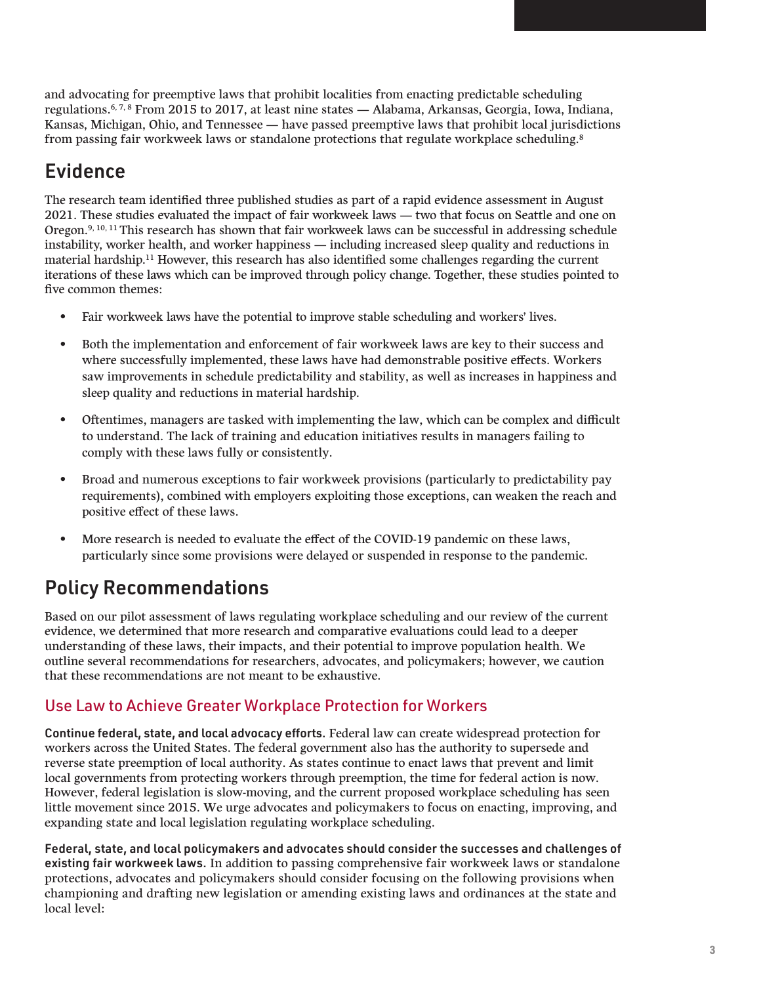and advocating for preemptive laws that prohibit localities from enacting predictable scheduling regulations.6, 7, 8 From 2015 to 2017, at least nine states — Alabama, Arkansas, Georgia, Iowa, Indiana, Kansas, Michigan, Ohio, and Tennessee — have passed preemptive laws that prohibit local jurisdictions from passing fair workweek laws or standalone protections that regulate workplace scheduling.8

## Evidence

The research team identified three published studies as part of a rapid evidence assessment in August 2021. These studies evaluated the impact of fair workweek laws — two that focus on Seattle and one on Oregon.<sup>9, 10, 11</sup> This research has shown that fair workweek laws can be successful in addressing schedule instability, worker health, and worker happiness — including increased sleep quality and reductions in material hardship.11 However, this research has also identified some challenges regarding the current iterations of these laws which can be improved through policy change. Together, these studies pointed to five common themes:

- Fair workweek laws have the potential to improve stable scheduling and workers' lives.
- Both the implementation and enforcement of fair workweek laws are key to their success and where successfully implemented, these laws have had demonstrable positive effects. Workers saw improvements in schedule predictability and stability, as well as increases in happiness and sleep quality and reductions in material hardship.
- Oftentimes, managers are tasked with implementing the law, which can be complex and difficult to understand. The lack of training and education initiatives results in managers failing to comply with these laws fully or consistently.
- Broad and numerous exceptions to fair workweek provisions (particularly to predictability pay requirements), combined with employers exploiting those exceptions, can weaken the reach and positive effect of these laws.
- More research is needed to evaluate the effect of the COVID-19 pandemic on these laws, particularly since some provisions were delayed or suspended in response to the pandemic.

# Policy Recommendations

Based on our pilot assessment of laws regulating workplace scheduling and our review of the current evidence, we determined that more research and comparative evaluations could lead to a deeper understanding of these laws, their impacts, and their potential to improve population health. We outline several recommendations for researchers, advocates, and policymakers; however, we caution that these recommendations are not meant to be exhaustive.

### Use Law to Achieve Greater Workplace Protection for Workers

Continue federal, state, and local advocacy efforts. Federal law can create widespread protection for workers across the United States. The federal government also has the authority to supersede and reverse state preemption of local authority. As states continue to enact laws that prevent and limit local governments from protecting workers through preemption, the time for federal action is now. However, federal legislation is slow-moving, and the current proposed workplace scheduling has seen little movement since 2015. We urge advocates and policymakers to focus on enacting, improving, and expanding state and local legislation regulating workplace scheduling.

Federal, state, and local policymakers and advocates should consider the successes and challenges of existing fair workweek laws. In addition to passing comprehensive fair workweek laws or standalone protections, advocates and policymakers should consider focusing on the following provisions when championing and drafting new legislation or amending existing laws and ordinances at the state and local level: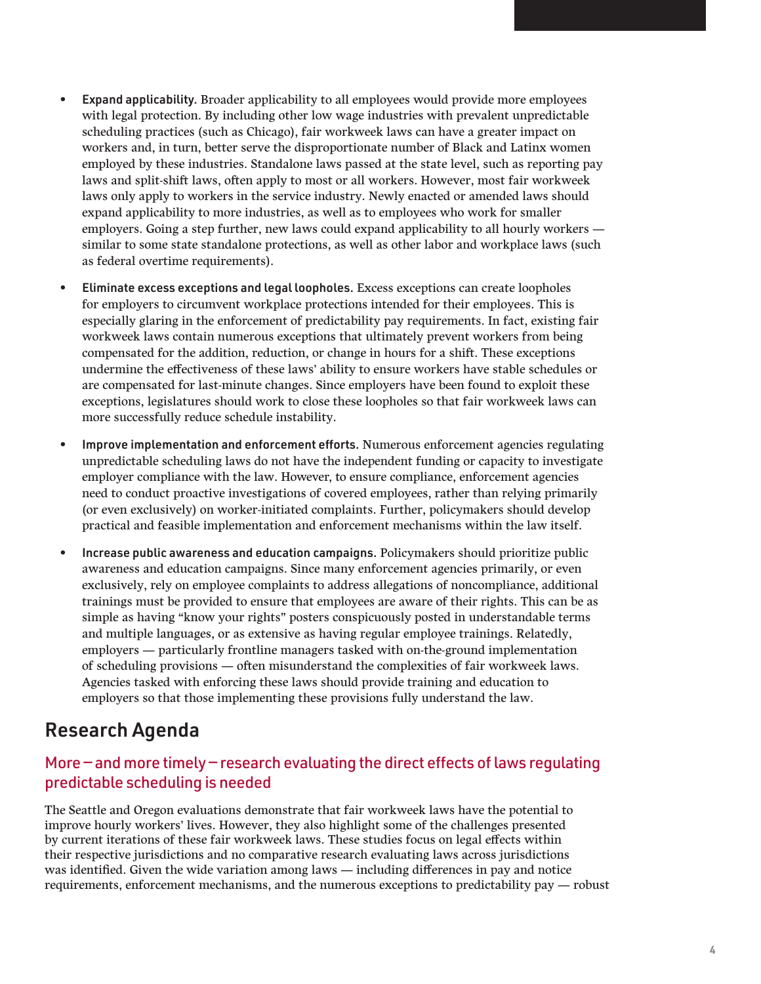- Expand applicability. Broader applicability to all employees would provide more employees with legal protection. By including other low wage industries with prevalent unpredictable scheduling practices (such as Chicago), fair workweek laws can have a greater impact on workers and, in turn, better serve the disproportionate number of Black and Latinx women employed by these industries. Standalone laws passed at the state level, such as reporting pay laws and split-shift laws, often apply to most or all workers. However, most fair workweek laws only apply to workers in the service industry. Newly enacted or amended laws should expand applicability to more industries, as well as to employees who work for smaller employers. Going a step further, new laws could expand applicability to all hourly workers similar to some state standalone protections, as well as other labor and workplace laws (such as federal overtime requirements).
- Eliminate excess exceptions and legal loopholes. Excess exceptions can create loopholes for employers to circumvent workplace protections intended for their employees. This is especially glaring in the enforcement of predictability pay requirements. In fact, existing fair workweek laws contain numerous exceptions that ultimately prevent workers from being compensated for the addition, reduction, or change in hours for a shift. These exceptions undermine the effectiveness of these laws' ability to ensure workers have stable schedules or are compensated for last-minute changes. Since employers have been found to exploit these exceptions, legislatures should work to close these loopholes so that fair workweek laws can more successfully reduce schedule instability.
- Improve implementation and enforcement efforts. Numerous enforcement agencies regulating unpredictable scheduling laws do not have the independent funding or capacity to investigate employer compliance with the law. However, to ensure compliance, enforcement agencies need to conduct proactive investigations of covered employees, rather than relying primarily (or even exclusively) on worker-initiated complaints. Further, policymakers should develop practical and feasible implementation and enforcement mechanisms within the law itself.
- Increase public awareness and education campaigns. Policymakers should prioritize public awareness and education campaigns. Since many enforcement agencies primarily, or even exclusively, rely on employee complaints to address allegations of noncompliance, additional trainings must be provided to ensure that employees are aware of their rights. This can be as simple as having "know your rights" posters conspicuously posted in understandable terms and multiple languages, or as extensive as having regular employee trainings. Relatedly, employers — particularly frontline managers tasked with on-the-ground implementation of scheduling provisions — often misunderstand the complexities of fair workweek laws. Agencies tasked with enforcing these laws should provide training and education to employers so that those implementing these provisions fully understand the law.

### Research Agenda

#### More — and more timely — research evaluating the direct effects of laws regulating predictable scheduling is needed

The Seattle and Oregon evaluations demonstrate that fair workweek laws have the potential to improve hourly workers' lives. However, they also highlight some of the challenges presented by current iterations of these fair workweek laws. These studies focus on legal effects within their respective jurisdictions and no comparative research evaluating laws across jurisdictions was identified. Given the wide variation among laws — including differences in pay and notice requirements, enforcement mechanisms, and the numerous exceptions to predictability pay — robust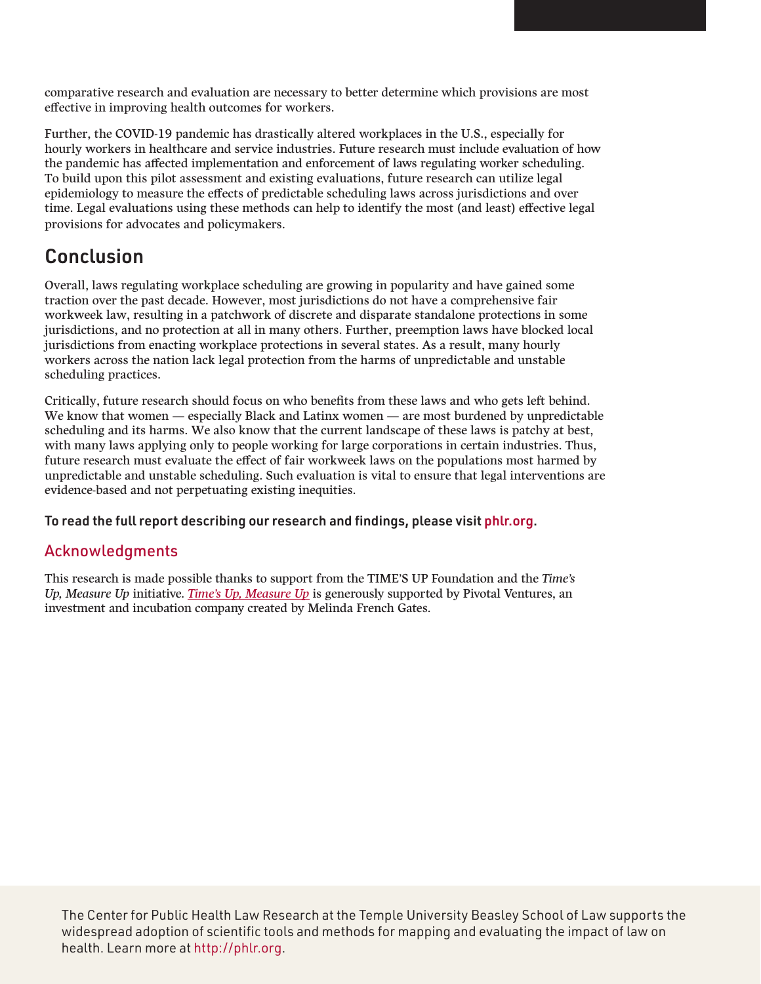comparative research and evaluation are necessary to better determine which provisions are most effective in improving health outcomes for workers.

Further, the COVID-19 pandemic has drastically altered workplaces in the U.S., especially for hourly workers in healthcare and service industries. Future research must include evaluation of how the pandemic has affected implementation and enforcement of laws regulating worker scheduling. To build upon this pilot assessment and existing evaluations, future research can utilize legal epidemiology to measure the effects of predictable scheduling laws across jurisdictions and over time. Legal evaluations using these methods can help to identify the most (and least) effective legal provisions for advocates and policymakers.

## **Conclusion**

Overall, laws regulating workplace scheduling are growing in popularity and have gained some traction over the past decade. However, most jurisdictions do not have a comprehensive fair workweek law, resulting in a patchwork of discrete and disparate standalone protections in some jurisdictions, and no protection at all in many others. Further, preemption laws have blocked local jurisdictions from enacting workplace protections in several states. As a result, many hourly workers across the nation lack legal protection from the harms of unpredictable and unstable scheduling practices.

Critically, future research should focus on who benefits from these laws and who gets left behind. We know that women — especially Black and Latinx women — are most burdened by unpredictable scheduling and its harms. We also know that the current landscape of these laws is patchy at best, with many laws applying only to people working for large corporations in certain industries. Thus, future research must evaluate the effect of fair workweek laws on the populations most harmed by unpredictable and unstable scheduling. Such evaluation is vital to ensure that legal interventions are evidence-based and not perpetuating existing inequities.

To read the full report describing our research and findings, please visit [phlr.org](http://phlr.org/product/exploring-legal-response-unpredictable-scheduling-burdens-women-workplace).

### Acknowledgments

This research is made possible thanks to support from the TIME'S UP Foundation and the *Time's Up, Measure Up* initiative. *[Time's Up, Measure Up](https://timesupfoundation.org/work/times-up-impact-lab/times-up-measure-up/)* is generously supported by Pivotal Ventures, an investment and incubation company created by Melinda French Gates.

The Center for Public Health Law Research at the Temple University Beasley School of Law supports the widespread adoption of scientific tools and methods for mapping and evaluating the impact of law on health. Learn more at [http://phlr.org.](http://phlr.org)